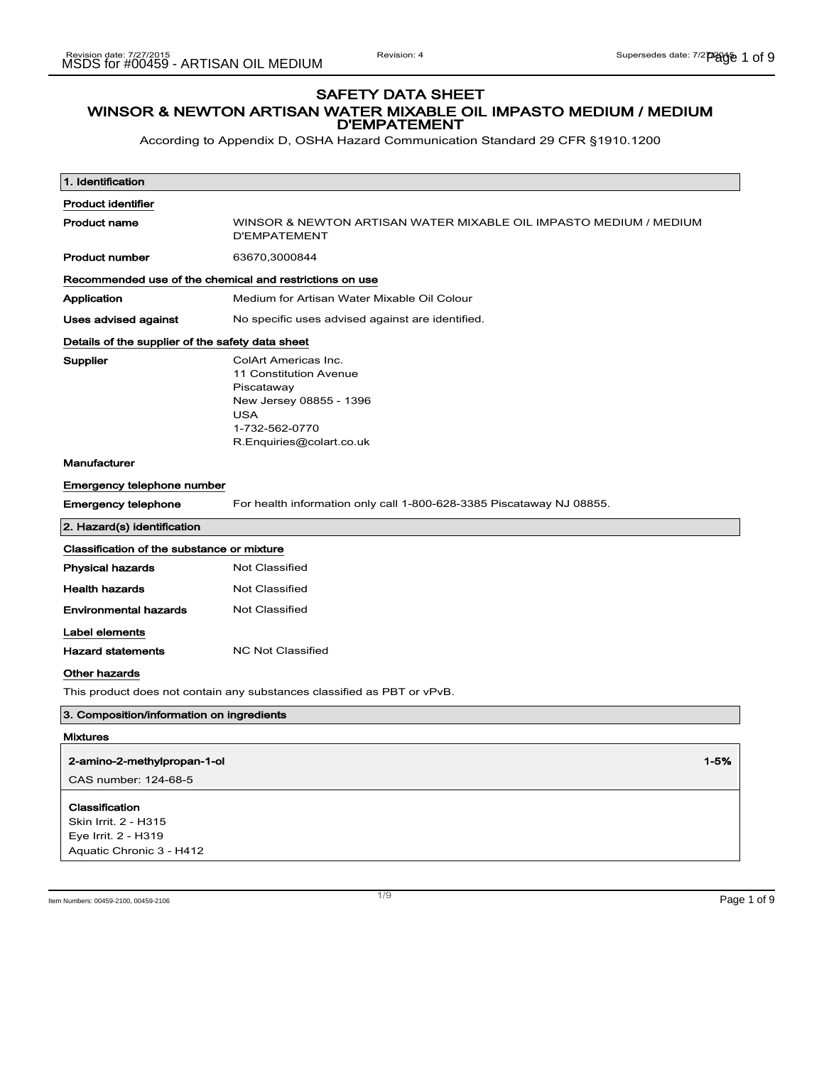According to Appendix D, OSHA Hazard Communication Standard 29 CFR §1910.1200

| 1. Identification                                                                         |                                                                                                                                                     |  |
|-------------------------------------------------------------------------------------------|-----------------------------------------------------------------------------------------------------------------------------------------------------|--|
| <b>Product identifier</b>                                                                 |                                                                                                                                                     |  |
| <b>Product name</b>                                                                       | WINSOR & NEWTON ARTISAN WATER MIXABLE OIL IMPASTO MEDIUM / MEDIUM<br><b>D'EMPATEMENT</b>                                                            |  |
| <b>Product number</b>                                                                     | 63670,3000844                                                                                                                                       |  |
| Recommended use of the chemical and restrictions on use                                   |                                                                                                                                                     |  |
| Application                                                                               | Medium for Artisan Water Mixable Oil Colour                                                                                                         |  |
| <b>Uses advised against</b>                                                               | No specific uses advised against are identified.                                                                                                    |  |
| Details of the supplier of the safety data sheet                                          |                                                                                                                                                     |  |
| Supplier                                                                                  | ColArt Americas Inc.<br>11 Constitution Avenue<br>Piscataway<br>New Jersey 08855 - 1396<br><b>USA</b><br>1-732-562-0770<br>R.Enquiries@colart.co.uk |  |
| Manufacturer                                                                              |                                                                                                                                                     |  |
| Emergency telephone number                                                                |                                                                                                                                                     |  |
| <b>Emergency telephone</b>                                                                | For health information only call 1-800-628-3385 Piscataway NJ 08855.                                                                                |  |
| 2. Hazard(s) identification                                                               |                                                                                                                                                     |  |
| Classification of the substance or mixture                                                |                                                                                                                                                     |  |
| Physical hazards                                                                          | <b>Not Classified</b>                                                                                                                               |  |
| <b>Health hazards</b>                                                                     | <b>Not Classified</b>                                                                                                                               |  |
| <b>Environmental hazards</b>                                                              | <b>Not Classified</b>                                                                                                                               |  |
| Label elements                                                                            |                                                                                                                                                     |  |
| <b>Hazard statements</b>                                                                  | <b>NC Not Classified</b>                                                                                                                            |  |
| Other hazards                                                                             |                                                                                                                                                     |  |
|                                                                                           | This product does not contain any substances classified as PBT or vPvB.                                                                             |  |
| 3. Composition/information on ingredients                                                 |                                                                                                                                                     |  |
| <b>Mixtures</b>                                                                           |                                                                                                                                                     |  |
| 2-amino-2-methylpropan-1-ol<br>CAS number: 124-68-5                                       | $1 - 5%$                                                                                                                                            |  |
| Classification<br>Skin Irrit. 2 - H315<br>Eye Irrit. 2 - H319<br>Aquatic Chronic 3 - H412 |                                                                                                                                                     |  |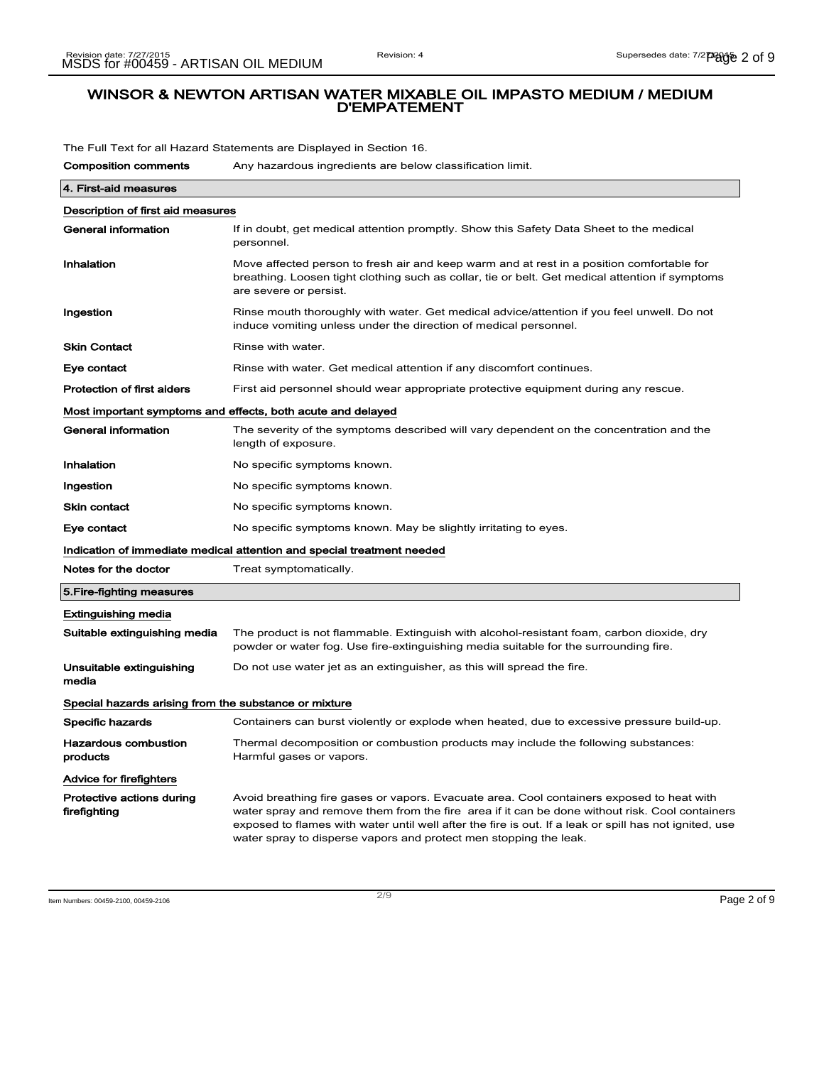The Full Text for all Hazard Statements are Displayed in Section 16.

| <b>Composition comments</b>                           | Any hazardous ingredients are below classification limit.                                                                                                                                                                                                                                                                                                                  |  |
|-------------------------------------------------------|----------------------------------------------------------------------------------------------------------------------------------------------------------------------------------------------------------------------------------------------------------------------------------------------------------------------------------------------------------------------------|--|
| 4. First-aid measures                                 |                                                                                                                                                                                                                                                                                                                                                                            |  |
| Description of first aid measures                     |                                                                                                                                                                                                                                                                                                                                                                            |  |
| General information                                   | If in doubt, get medical attention promptly. Show this Safety Data Sheet to the medical<br>personnel.                                                                                                                                                                                                                                                                      |  |
| Inhalation                                            | Move affected person to fresh air and keep warm and at rest in a position comfortable for<br>breathing. Loosen tight clothing such as collar, tie or belt. Get medical attention if symptoms<br>are severe or persist.                                                                                                                                                     |  |
| Ingestion                                             | Rinse mouth thoroughly with water. Get medical advice/attention if you feel unwell. Do not<br>induce vomiting unless under the direction of medical personnel.                                                                                                                                                                                                             |  |
| <b>Skin Contact</b>                                   | Rinse with water.                                                                                                                                                                                                                                                                                                                                                          |  |
| Eye contact                                           | Rinse with water. Get medical attention if any discomfort continues.                                                                                                                                                                                                                                                                                                       |  |
| <b>Protection of first aiders</b>                     | First aid personnel should wear appropriate protective equipment during any rescue.                                                                                                                                                                                                                                                                                        |  |
|                                                       | Most important symptoms and effects, both acute and delayed                                                                                                                                                                                                                                                                                                                |  |
| General information                                   | The severity of the symptoms described will vary dependent on the concentration and the<br>length of exposure.                                                                                                                                                                                                                                                             |  |
| Inhalation                                            | No specific symptoms known.                                                                                                                                                                                                                                                                                                                                                |  |
| Ingestion                                             | No specific symptoms known.                                                                                                                                                                                                                                                                                                                                                |  |
| <b>Skin contact</b>                                   | No specific symptoms known.                                                                                                                                                                                                                                                                                                                                                |  |
| Eye contact                                           | No specific symptoms known. May be slightly irritating to eyes.                                                                                                                                                                                                                                                                                                            |  |
|                                                       | Indication of immediate medical attention and special treatment needed                                                                                                                                                                                                                                                                                                     |  |
| Notes for the doctor                                  | Treat symptomatically.                                                                                                                                                                                                                                                                                                                                                     |  |
| 5. Fire-fighting measures                             |                                                                                                                                                                                                                                                                                                                                                                            |  |
| <b>Extinguishing media</b>                            |                                                                                                                                                                                                                                                                                                                                                                            |  |
| Suitable extinguishing media                          | The product is not flammable. Extinguish with alcohol-resistant foam, carbon dioxide, dry<br>powder or water fog. Use fire-extinguishing media suitable for the surrounding fire.                                                                                                                                                                                          |  |
| Unsuitable extinguishing<br>media                     | Do not use water jet as an extinguisher, as this will spread the fire.                                                                                                                                                                                                                                                                                                     |  |
| Special hazards arising from the substance or mixture |                                                                                                                                                                                                                                                                                                                                                                            |  |
| Specific hazards                                      | Containers can burst violently or explode when heated, due to excessive pressure build-up.                                                                                                                                                                                                                                                                                 |  |
| <b>Hazardous combustion</b><br>products               | Thermal decomposition or combustion products may include the following substances:<br>Harmful gases or vapors.                                                                                                                                                                                                                                                             |  |
| Advice for firefighters                               |                                                                                                                                                                                                                                                                                                                                                                            |  |
| Protective actions during<br>firefighting             | Avoid breathing fire gases or vapors. Evacuate area. Cool containers exposed to heat with<br>water spray and remove them from the fire area if it can be done without risk. Cool containers<br>exposed to flames with water until well after the fire is out. If a leak or spill has not ignited, use<br>water spray to disperse vapors and protect men stopping the leak. |  |

Item Numbers: 00459-2100, 00459-2106 Page 2 of 9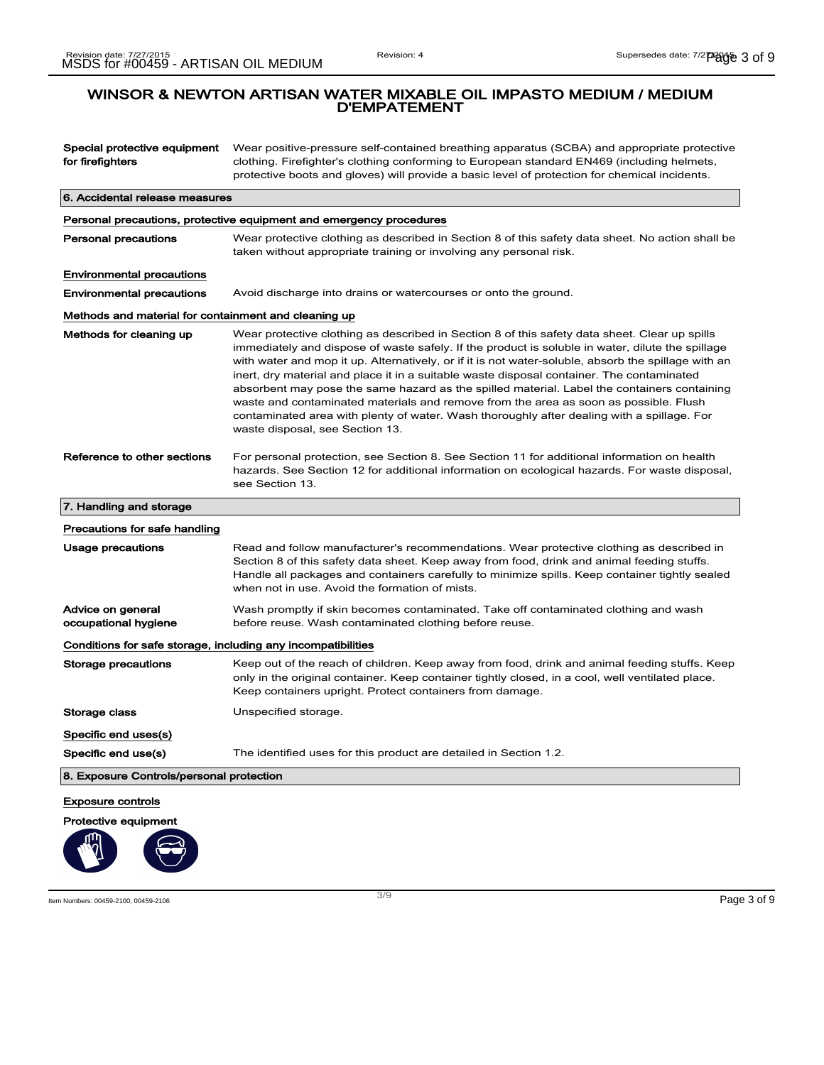Special protective equipment for firefighters Wear positive-pressure self-contained breathing apparatus (SCBA) and appropriate protective clothing. Firefighter's clothing conforming to European standard EN469 (including helmets, protective boots and gloves) will provide a basic level of protection for chemical incidents. 6. Accidental release measures Personal precautions, protective equipment and emergency procedures Personal precautions Wear protective clothing as described in Section 8 of this safety data sheet. No action shall be taken without appropriate training or involving any personal risk. Environmental precautions Environmental precautions Avoid discharge into drains or watercourses or onto the ground. Methods and material for containment and cleaning up Methods for cleaning up Wear protective clothing as described in Section 8 of this safety data sheet. Clear up spills immediately and dispose of waste safely. If the product is soluble in water, dilute the spillage with water and mop it up. Alternatively, or if it is not water-soluble, absorb the spillage with an inert, dry material and place it in a suitable waste disposal container. The contaminated absorbent may pose the same hazard as the spilled material. Label the containers containing waste and contaminated materials and remove from the area as soon as possible. Flush contaminated area with plenty of water. Wash thoroughly after dealing with a spillage. For waste disposal, see Section 13. Reference to other sections For personal protection, see Section 8. See Section 11 for additional information on health hazards. See Section 12 for additional information on ecological hazards. For waste disposal, see Section 13. 7. Handling and storage Precautions for safe handling Usage precautions **Read and follow manufacturer's recommendations**. Wear protective clothing as described in Section 8 of this safety data sheet. Keep away from food, drink and animal feeding stuffs. Handle all packages and containers carefully to minimize spills. Keep container tightly sealed when not in use. Avoid the formation of mists. Advice on general occupational hygiene Wash promptly if skin becomes contaminated. Take off contaminated clothing and wash before reuse. Wash contaminated clothing before reuse. Conditions for safe storage, including any incompatibilities Storage precautions Keep out of the reach of children. Keep away from food, drink and animal feeding stuffs. Keep only in the original container. Keep container tightly closed, in a cool, well ventilated place. Keep containers upright. Protect containers from damage. Storage class Unspecified storage. Specific end uses(s) Specific end use(s) The identified uses for this product are detailed in Section 1.2. 8. Exposure Controls/personal protection Exposure controls

Protective equipment

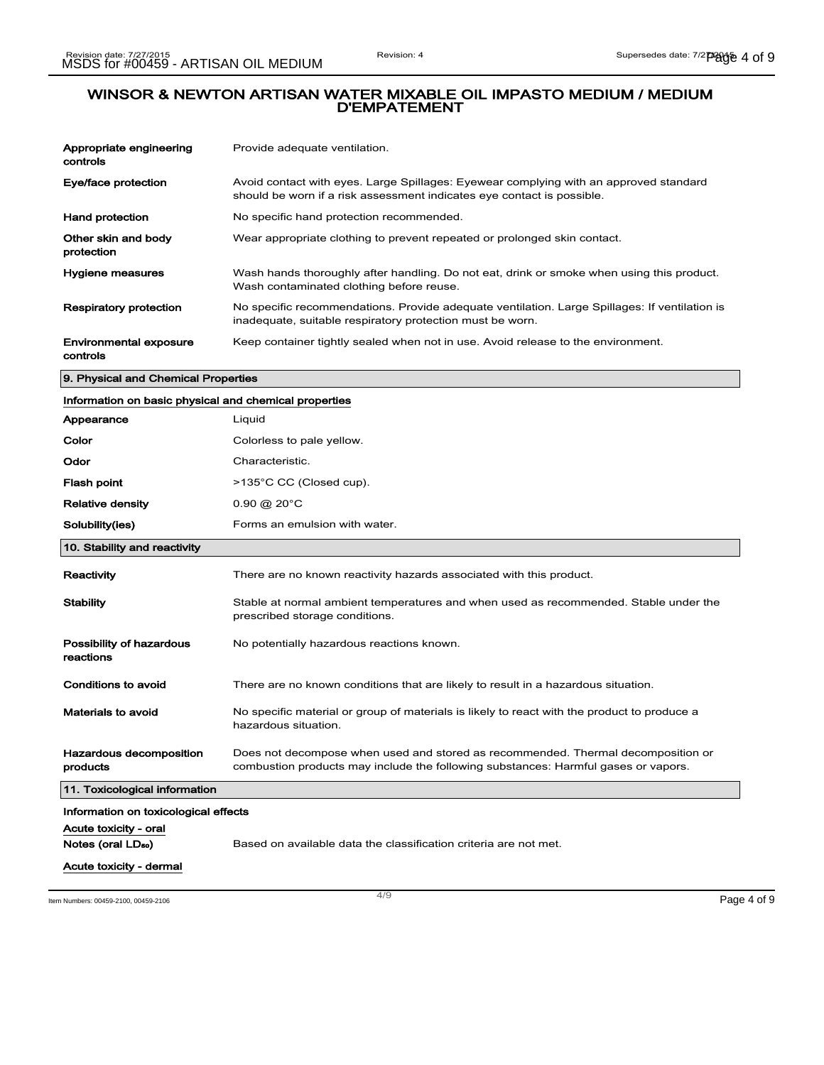| Appropriate engineering<br>controls                     | Provide adequate ventilation.                                                                                                                                          |
|---------------------------------------------------------|------------------------------------------------------------------------------------------------------------------------------------------------------------------------|
| Eye/face protection                                     | Avoid contact with eyes. Large Spillages: Eyewear complying with an approved standard<br>should be worn if a risk assessment indicates eye contact is possible.        |
| <b>Hand protection</b>                                  | No specific hand protection recommended.                                                                                                                               |
| Other skin and body<br>protection                       | Wear appropriate clothing to prevent repeated or prolonged skin contact.                                                                                               |
| Hygiene measures                                        | Wash hands thoroughly after handling. Do not eat, drink or smoke when using this product.<br>Wash contaminated clothing before reuse.                                  |
| Respiratory protection                                  | No specific recommendations. Provide adequate ventilation. Large Spillages: If ventilation is<br>inadequate, suitable respiratory protection must be worn.             |
| Environmental exposure<br>controls                      | Keep container tightly sealed when not in use. Avoid release to the environment.                                                                                       |
| 9. Physical and Chemical Properties                     |                                                                                                                                                                        |
| Information on basic physical and chemical properties   |                                                                                                                                                                        |
| Appearance                                              | Liquid                                                                                                                                                                 |
| Color                                                   | Colorless to pale yellow.                                                                                                                                              |
| Odor                                                    | Characteristic.                                                                                                                                                        |
| Flash point                                             | >135°C CC (Closed cup).                                                                                                                                                |
| <b>Relative density</b>                                 | $0.90 \; \textcircled{a}$ 20 $^{\circ}$ C                                                                                                                              |
|                                                         |                                                                                                                                                                        |
| Solubility(ies)                                         | Forms an emulsion with water.                                                                                                                                          |
| 10. Stability and reactivity                            |                                                                                                                                                                        |
| Reactivity                                              | There are no known reactivity hazards associated with this product.                                                                                                    |
| <b>Stability</b>                                        | Stable at normal ambient temperatures and when used as recommended. Stable under the<br>prescribed storage conditions.                                                 |
| Possibility of hazardous<br>reactions                   | No potentially hazardous reactions known.                                                                                                                              |
| Conditions to avoid                                     | There are no known conditions that are likely to result in a hazardous situation.                                                                                      |
| <b>Materials to avoid</b>                               | No specific material or group of materials is likely to react with the product to produce a<br>hazardous situation.                                                    |
| Hazardous decomposition<br>products                     | Does not decompose when used and stored as recommended. Thermal decomposition or<br>combustion products may include the following substances: Harmful gases or vapors. |
| 11. Toxicological information                           |                                                                                                                                                                        |
| Information on toxicological effects                    |                                                                                                                                                                        |
| Acute toxicity - oral<br>Notes (oral LD <sub>50</sub> ) | Based on available data the classification criteria are not met.                                                                                                       |

Item Numbers: 00459-2100, 00459-2106 Page 4 of 9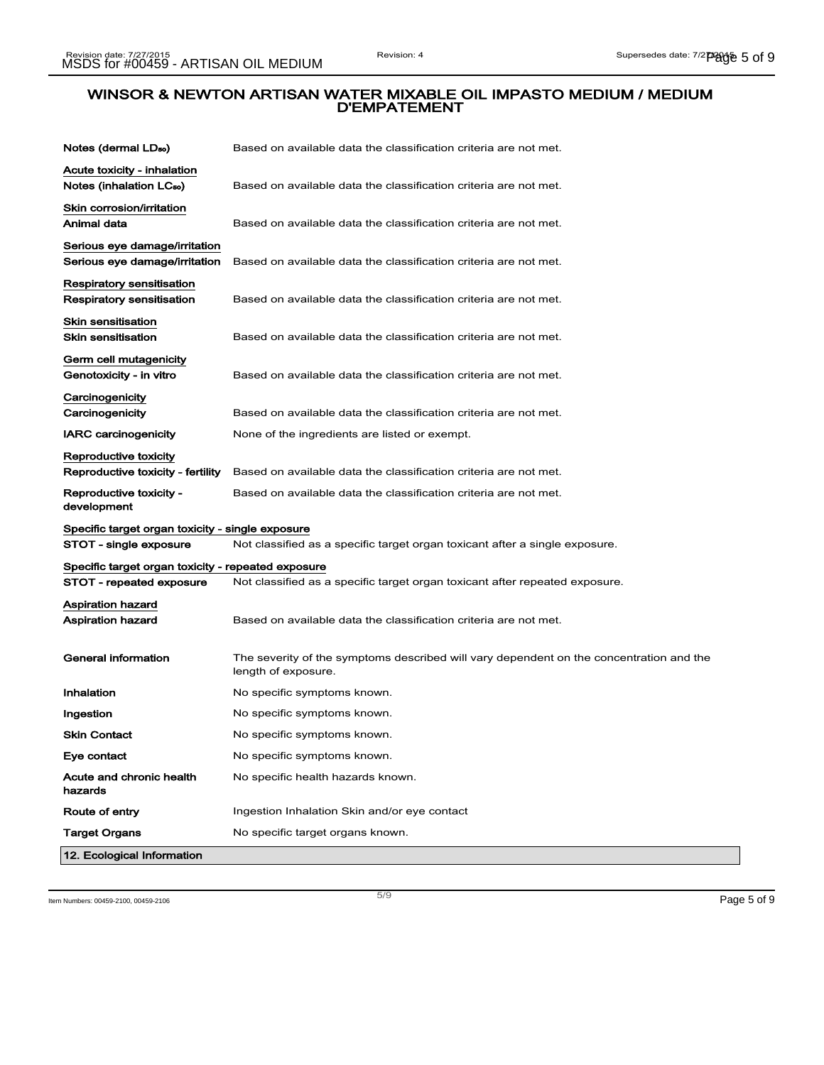| Notes (dermal LD <sub>50</sub> )                                    | Based on available data the classification criteria are not met.                                               |
|---------------------------------------------------------------------|----------------------------------------------------------------------------------------------------------------|
| Acute toxicity - inhalation<br>Notes (inhalation LC <sub>50</sub> ) | Based on available data the classification criteria are not met.                                               |
| Skin corrosion/irritation<br>Animal data                            | Based on available data the classification criteria are not met.                                               |
| Serious eye damage/irritation<br>Serious eye damage/irritation      | Based on available data the classification criteria are not met.                                               |
| Respiratory sensitisation<br>Respiratory sensitisation              | Based on available data the classification criteria are not met.                                               |
| Skin sensitisation<br><b>Skin sensitisation</b>                     | Based on available data the classification criteria are not met.                                               |
| Germ cell mutagenicity<br>Genotoxicity - in vitro                   | Based on available data the classification criteria are not met.                                               |
| Carcinogenicity<br>Carcinogenicity                                  | Based on available data the classification criteria are not met.                                               |
| <b>IARC carcinogenicity</b>                                         | None of the ingredients are listed or exempt.                                                                  |
| Reproductive toxicity<br>Reproductive toxicity - fertility          | Based on available data the classification criteria are not met.                                               |
| Reproductive toxicity -<br>development                              | Based on available data the classification criteria are not met.                                               |
| Specific target organ toxicity - single exposure                    |                                                                                                                |
| STOT - single exposure                                              | Not classified as a specific target organ toxicant after a single exposure.                                    |
| Specific target organ toxicity - repeated exposure                  |                                                                                                                |
| STOT - repeated exposure                                            | Not classified as a specific target organ toxicant after repeated exposure.                                    |
| Aspiration hazard<br><b>Aspiration hazard</b>                       | Based on available data the classification criteria are not met.                                               |
| General information                                                 | The severity of the symptoms described will vary dependent on the concentration and the<br>length of exposure. |
| Inhalation                                                          | No specific symptoms known.                                                                                    |
| Ingestion                                                           | No specific symptoms known.                                                                                    |
| <b>Skin Contact</b>                                                 | No specific symptoms known.                                                                                    |
| Eye contact                                                         | No specific symptoms known.                                                                                    |
| Acute and chronic health<br>hazards                                 | No specific health hazards known.                                                                              |
| Route of entry                                                      | Ingestion Inhalation Skin and/or eye contact                                                                   |
| <b>Target Organs</b>                                                | No specific target organs known.                                                                               |
| 12. Ecological Information                                          |                                                                                                                |

Item Numbers: 00459-2100, 00459-2106 Page 5 of 9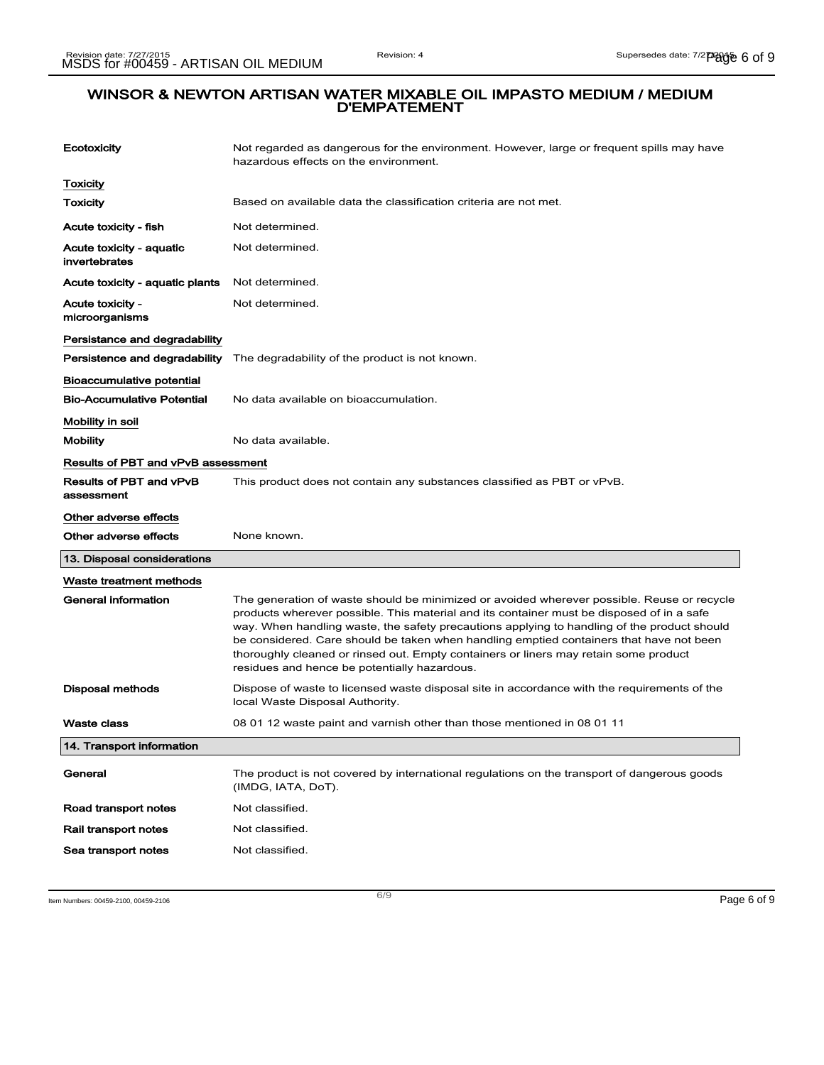| Ecotoxicity                               | Not regarded as dangerous for the environment. However, large or frequent spills may have<br>hazardous effects on the environment.                                                                                                                                                                                                                                                                                                                                                                                        |
|-------------------------------------------|---------------------------------------------------------------------------------------------------------------------------------------------------------------------------------------------------------------------------------------------------------------------------------------------------------------------------------------------------------------------------------------------------------------------------------------------------------------------------------------------------------------------------|
| <b>Toxicity</b>                           |                                                                                                                                                                                                                                                                                                                                                                                                                                                                                                                           |
| <b>Toxicity</b>                           | Based on available data the classification criteria are not met.                                                                                                                                                                                                                                                                                                                                                                                                                                                          |
| Acute toxicity - fish                     | Not determined.                                                                                                                                                                                                                                                                                                                                                                                                                                                                                                           |
| Acute toxicity - aquatic<br>invertebrates | Not determined.                                                                                                                                                                                                                                                                                                                                                                                                                                                                                                           |
| Acute toxicity - aquatic plants           | Not determined.                                                                                                                                                                                                                                                                                                                                                                                                                                                                                                           |
| Acute toxicity -<br>microorganisms        | Not determined.                                                                                                                                                                                                                                                                                                                                                                                                                                                                                                           |
| Persistance and degradability             |                                                                                                                                                                                                                                                                                                                                                                                                                                                                                                                           |
| Persistence and degradability             | The degradability of the product is not known.                                                                                                                                                                                                                                                                                                                                                                                                                                                                            |
| Bioaccumulative potential                 |                                                                                                                                                                                                                                                                                                                                                                                                                                                                                                                           |
| <b>Bio-Accumulative Potential</b>         | No data available on bioaccumulation.                                                                                                                                                                                                                                                                                                                                                                                                                                                                                     |
| Mobility in soil                          |                                                                                                                                                                                                                                                                                                                                                                                                                                                                                                                           |
| <b>Mobility</b>                           | No data available.                                                                                                                                                                                                                                                                                                                                                                                                                                                                                                        |
| Results of PBT and vPvB assessment        |                                                                                                                                                                                                                                                                                                                                                                                                                                                                                                                           |
| Results of PBT and vPvB<br>assessment     | This product does not contain any substances classified as PBT or vPvB.                                                                                                                                                                                                                                                                                                                                                                                                                                                   |
|                                           |                                                                                                                                                                                                                                                                                                                                                                                                                                                                                                                           |
| Other adverse effects                     |                                                                                                                                                                                                                                                                                                                                                                                                                                                                                                                           |
| Other adverse effects                     | None known.                                                                                                                                                                                                                                                                                                                                                                                                                                                                                                               |
| 13. Disposal considerations               |                                                                                                                                                                                                                                                                                                                                                                                                                                                                                                                           |
| Waste treatment methods                   |                                                                                                                                                                                                                                                                                                                                                                                                                                                                                                                           |
| <b>General information</b>                | The generation of waste should be minimized or avoided wherever possible. Reuse or recycle<br>products wherever possible. This material and its container must be disposed of in a safe<br>way. When handling waste, the safety precautions applying to handling of the product should<br>be considered. Care should be taken when handling emptied containers that have not been<br>thoroughly cleaned or rinsed out. Empty containers or liners may retain some product<br>residues and hence be potentially hazardous. |
| Disposal methods                          | Dispose of waste to licensed waste disposal site in accordance with the requirements of the<br>local Waste Disposal Authority.                                                                                                                                                                                                                                                                                                                                                                                            |
| Waste class                               | 08 01 12 waste paint and varnish other than those mentioned in 08 01 11                                                                                                                                                                                                                                                                                                                                                                                                                                                   |
| 14. Transport information                 |                                                                                                                                                                                                                                                                                                                                                                                                                                                                                                                           |
| General                                   | The product is not covered by international regulations on the transport of dangerous goods<br>(IMDG, IATA, DoT).                                                                                                                                                                                                                                                                                                                                                                                                         |
| Road transport notes                      | Not classified.                                                                                                                                                                                                                                                                                                                                                                                                                                                                                                           |
| Rail transport notes                      | Not classified.                                                                                                                                                                                                                                                                                                                                                                                                                                                                                                           |

Item Numbers: 00459-2100, 00459-2106 Page 6 of 9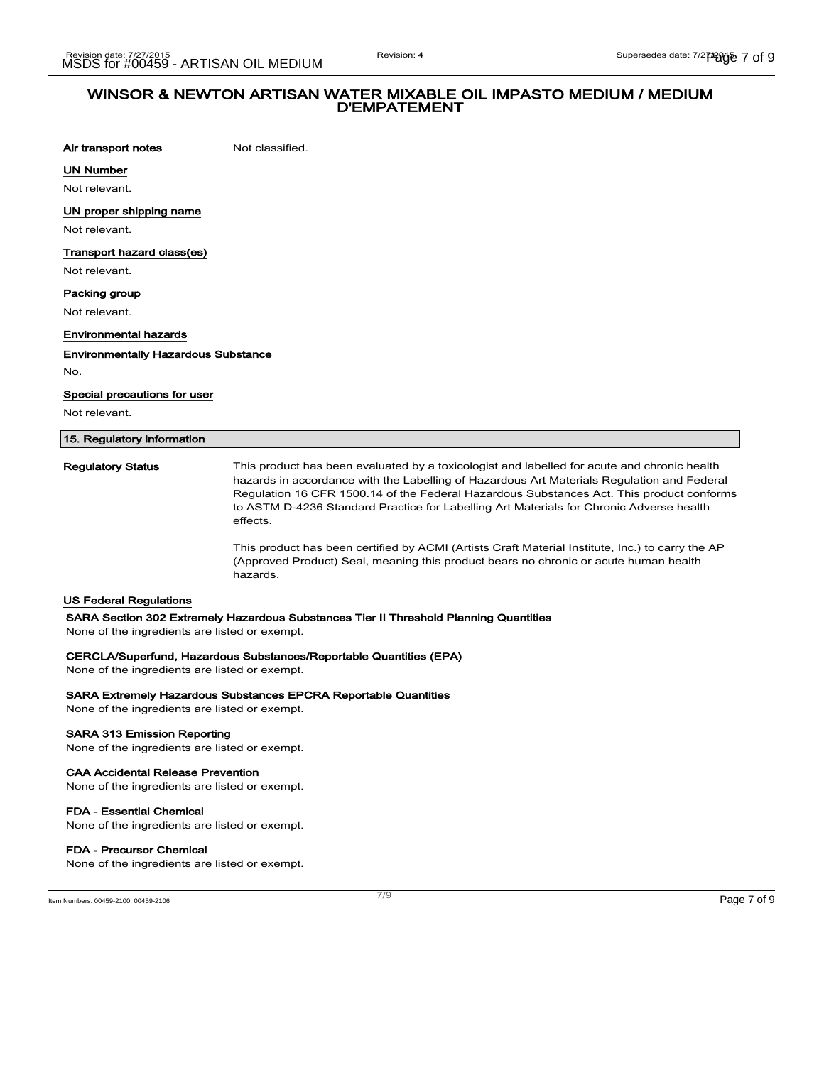Air transport notes Not classified.

UN Number

Not relevant.

UN proper shipping name

Not relevant.

### Transport hazard class(es)

Not relevant.

#### Packing group

Not relevant.

#### Environmental hazards

Environmentally Hazardous Substance

No.

#### Special precautions for user

Not relevant.

#### 15. Regulatory information

Regulatory Status This product has been evaluated by a toxicologist and labelled for acute and chronic health hazards in accordance with the Labelling of Hazardous Art Materials Regulation and Federal Regulation 16 CFR 1500.14 of the Federal Hazardous Substances Act. This product conforms to ASTM D-4236 Standard Practice for Labelling Art Materials for Chronic Adverse health effects.

> This product has been certified by ACMI (Artists Craft Material Institute, Inc.) to carry the AP (Approved Product) Seal, meaning this product bears no chronic or acute human health hazards.

#### US Federal Regulations

#### SARA Section 302 Extremely Hazardous Substances Tier II Threshold Planning Quantities

None of the ingredients are listed or exempt.

#### CERCLA/Superfund, Hazardous Substances/Reportable Quantities (EPA)

None of the ingredients are listed or exempt.

#### SARA Extremely Hazardous Substances EPCRA Reportable Quantities

None of the ingredients are listed or exempt.

#### SARA 313 Emission Reporting

None of the ingredients are listed or exempt.

#### CAA Accidental Release Prevention

None of the ingredients are listed or exempt.

#### FDA - Essential Chemical

None of the ingredients are listed or exempt.

### FDA - Precursor Chemical

None of the ingredients are listed or exempt.

Item Numbers: 00459-2100, 00459-2106 Page 7 of 9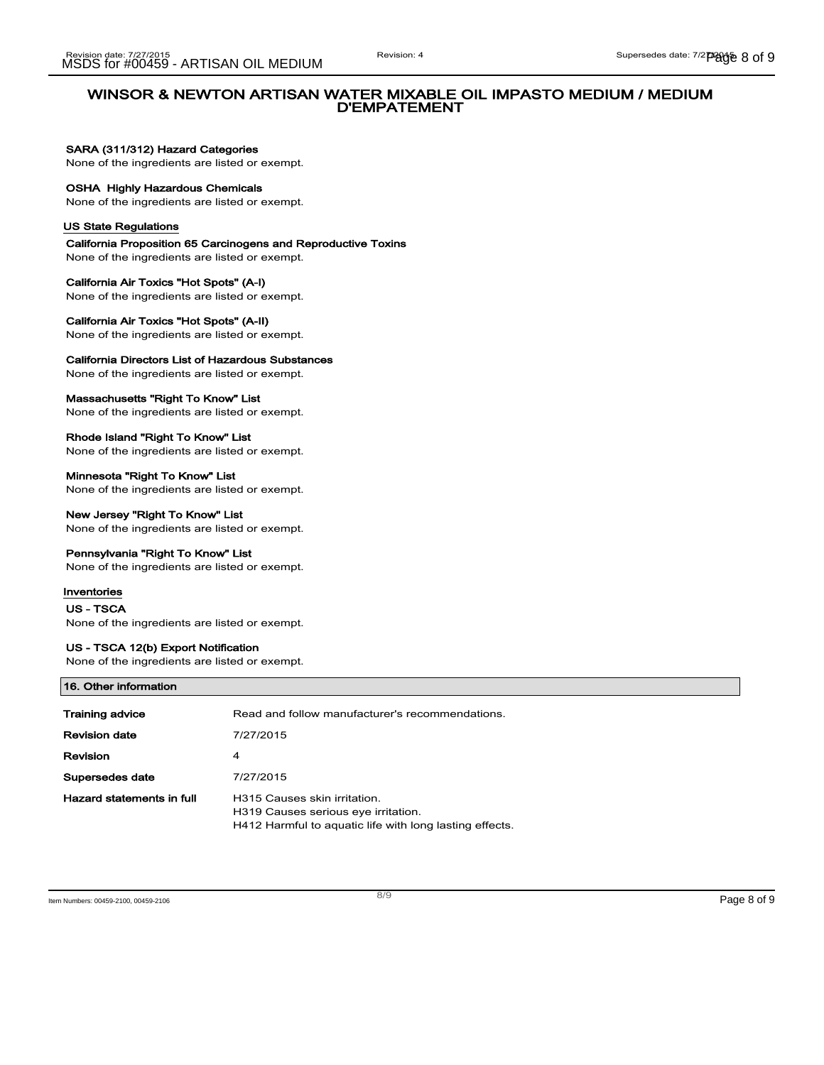## SARA (311/312) Hazard Categories

None of the ingredients are listed or exempt.

## OSHA Highly Hazardous Chemicals

None of the ingredients are listed or exempt.

#### US State Regulations

California Proposition 65 Carcinogens and Reproductive Toxins None of the ingredients are listed or exempt.

California Air Toxics "Hot Spots" (A-I) None of the ingredients are listed or exempt.

## California Air Toxics "Hot Spots" (A-II)

None of the ingredients are listed or exempt.

## California Directors List of Hazardous Substances

None of the ingredients are listed or exempt.

#### Massachusetts "Right To Know" List

None of the ingredients are listed or exempt.

Rhode Island "Right To Know" List None of the ingredients are listed or exempt.

#### Minnesota "Right To Know" List None of the ingredients are listed or exempt.

## New Jersey "Right To Know" List

None of the ingredients are listed or exempt.

## Pennsylvania "Right To Know" List

None of the ingredients are listed or exempt.

## Inventories

US - TSCA None of the ingredients are listed or exempt.

## US - TSCA 12(b) Export Notification

None of the ingredients are listed or exempt.

| 16. Other information     |                                                                                                                                |  |
|---------------------------|--------------------------------------------------------------------------------------------------------------------------------|--|
| Training advice           | Read and follow manufacturer's recommendations.                                                                                |  |
| <b>Revision date</b>      | 7/27/2015                                                                                                                      |  |
| <b>Revision</b>           | 4                                                                                                                              |  |
| Supersedes date           | 7/27/2015                                                                                                                      |  |
| Hazard statements in full | H315 Causes skin irritation.<br>H319 Causes serious eye irritation.<br>H412 Harmful to aguatic life with long lasting effects. |  |